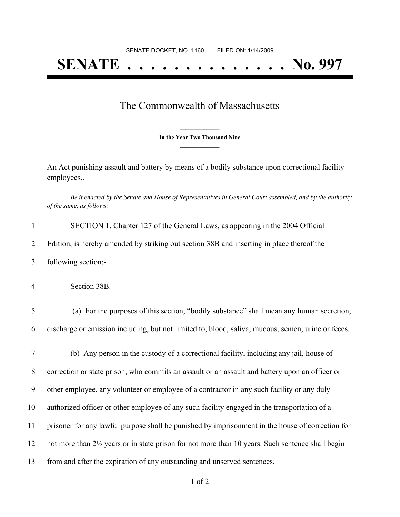## **SENATE . . . . . . . . . . . . . . No. 997**

## The Commonwealth of Massachusetts

**\_\_\_\_\_\_\_\_\_\_\_\_\_\_\_ In the Year Two Thousand Nine \_\_\_\_\_\_\_\_\_\_\_\_\_\_\_**

An Act punishing assault and battery by means of a bodily substance upon correctional facility employees..

Be it enacted by the Senate and House of Representatives in General Court assembled, and by the authority *of the same, as follows:*

|   | SECTION 1. Chapter 127 of the General Laws, as appearing in the 2004 Official             |
|---|-------------------------------------------------------------------------------------------|
| 2 | Edition, is hereby amended by striking out section 38B and inserting in place thereof the |
| 3 | following section:-                                                                       |
|   |                                                                                           |

4 Section 38B.

5 (a) For the purposes of this section, "bodily substance" shall mean any human secretion, 6 discharge or emission including, but not limited to, blood, saliva, mucous, semen, urine or feces.

 (b) Any person in the custody of a correctional facility, including any jail, house of correction or state prison, who commits an assault or an assault and battery upon an officer or other employee, any volunteer or employee of a contractor in any such facility or any duly authorized officer or other employee of any such facility engaged in the transportation of a prisoner for any lawful purpose shall be punished by imprisonment in the house of correction for not more than 2½ years or in state prison for not more than 10 years. Such sentence shall begin from and after the expiration of any outstanding and unserved sentences.